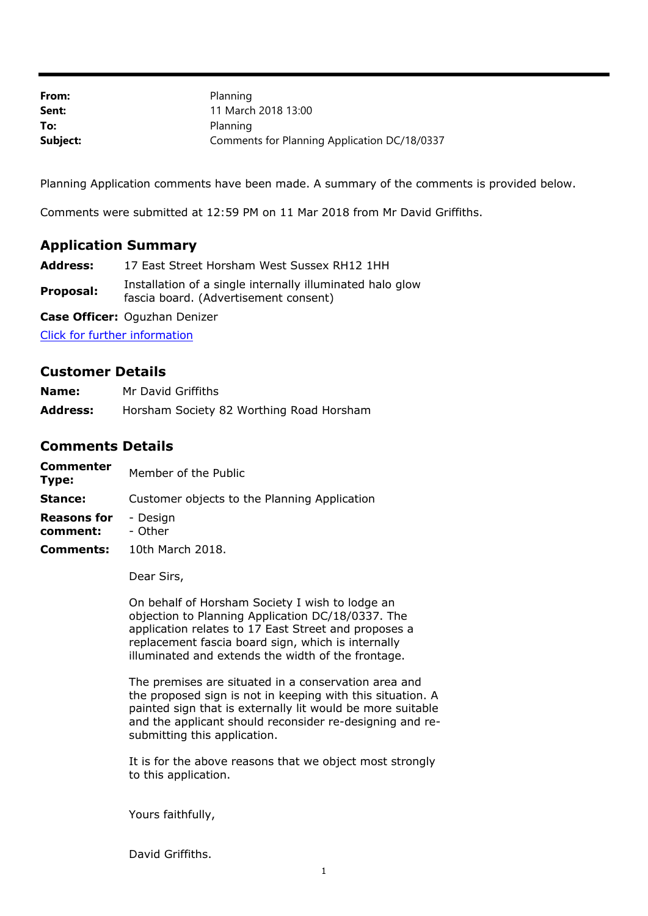| From:    | Planning                                     |
|----------|----------------------------------------------|
| Sent:    | 11 March 2018 13:00                          |
| To:      | Planning                                     |
| Subject: | Comments for Planning Application DC/18/0337 |

Planning Application comments have been made. A summary of the comments is provided below.

Comments were submitted at 12:59 PM on 11 Mar 2018 from Mr David Griffiths.

## **Application Summary**

- **Address:** 17 East Street Horsham West Sussex RH12 1HH
- **Proposal:** Installation of a single internally illuminated halo glow fascia board. (Advertisement consent)

**Case Officer:** Oguzhan Denizer

[Click for further information](https://public-access.horsham.gov.uk/public-access//centralDistribution.do?caseType=Application&keyVal=P42ZPWIJL2X00)

## **Customer Details**

| Name:           | Mr David Griffiths                       |
|-----------------|------------------------------------------|
| <b>Address:</b> | Horsham Society 82 Worthing Road Horsham |

## **Comments Details**

| Commenter<br>Member of the Public<br>Type:              |  |
|---------------------------------------------------------|--|
| Customer objects to the Planning Application<br>Stance: |  |
| <b>Reasons for</b><br>- Design<br>- Other<br>comment:   |  |
| 10th March 2018.<br>Comments:                           |  |

Dear Sirs,

On behalf of Horsham Society I wish to lodge an objection to Planning Application DC/18/0337. The application relates to 17 East Street and proposes a replacement fascia board sign, which is internally illuminated and extends the width of the frontage.

The premises are situated in a conservation area and the proposed sign is not in keeping with this situation. A painted sign that is externally lit would be more suitable and the applicant should reconsider re-designing and resubmitting this application.

It is for the above reasons that we object most strongly to this application.

Yours faithfully,

David Griffiths.